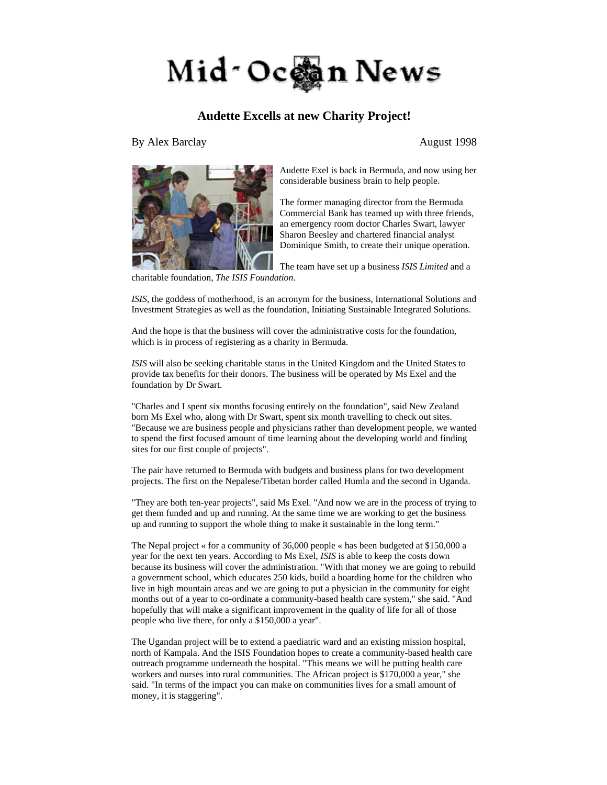

## **Audette Excells at new Charity Project!**

By Alex Barclay August 1998



Audette Exel is back in Bermuda, and now using her considerable business brain to help people.

The former managing director from the Bermuda Commercial Bank has teamed up with three friends, an emergency room doctor Charles Swart, lawyer Sharon Beesley and chartered financial analyst Dominique Smith, to create their unique operation.

The team have set up a business *ISIS Limited* and a

*ISIS*, the goddess of motherhood, is an acronym for the business, International Solutions and Investment Strategies as well as the foundation, Initiating Sustainable Integrated Solutions.

And the hope is that the business will cover the administrative costs for the foundation, which is in process of registering as a charity in Bermuda.

*ISIS* will also be seeking charitable status in the United Kingdom and the United States to provide tax benefits for their donors. The business will be operated by Ms Exel and the foundation by Dr Swart.

"Charles and I spent six months focusing entirely on the foundation", said New Zealand born Ms Exel who, along with Dr Swart, spent six month travelling to check out sites. "Because we are business people and physicians rather than development people, we wanted to spend the first focused amount of time learning about the developing world and finding sites for our first couple of projects".

The pair have returned to Bermuda with budgets and business plans for two development projects. The first on the Nepalese/Tibetan border called Humla and the second in Uganda.

"They are both ten-year projects", said Ms Exel. "And now we are in the process of trying to get them funded and up and running. At the same time we are working to get the business up and running to support the whole thing to make it sustainable in the long term."

The Nepal project « for a community of 36,000 people « has been budgeted at \$150,000 a year for the next ten years. According to Ms Exel, *ISIS* is able to keep the costs down because its business will cover the administration. "With that money we are going to rebuild a government school, which educates 250 kids, build a boarding home for the children who live in high mountain areas and we are going to put a physician in the community for eight months out of a year to co-ordinate a community-based health care system," she said. "And hopefully that will make a significant improvement in the quality of life for all of those people who live there, for only a \$150,000 a year".

The Ugandan project will be to extend a paediatric ward and an existing mission hospital, north of Kampala. And the ISIS Foundation hopes to create a community-based health care outreach programme underneath the hospital. "This means we will be putting health care workers and nurses into rural communities. The African project is \$170,000 a year," she said. "In terms of the impact you can make on communities lives for a small amount of money, it is staggering".